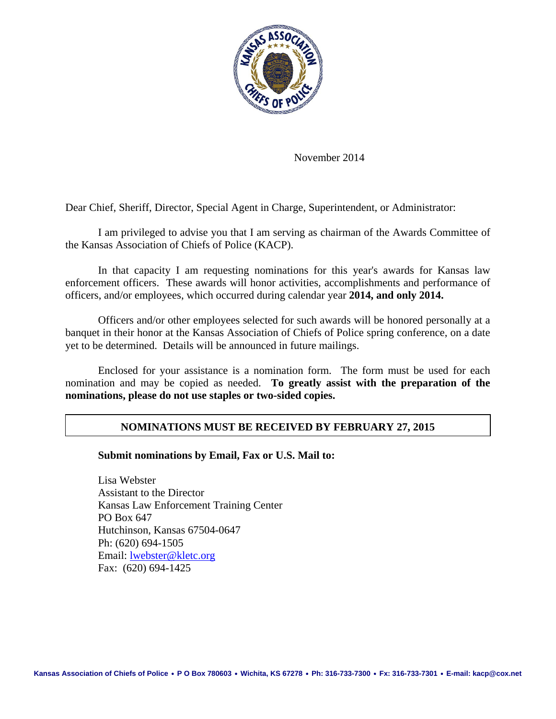

November 2014

Dear Chief, Sheriff, Director, Special Agent in Charge, Superintendent, or Administrator:

I am privileged to advise you that I am serving as chairman of the Awards Committee of the Kansas Association of Chiefs of Police (KACP).

In that capacity I am requesting nominations for this year's awards for Kansas law enforcement officers. These awards will honor activities, accomplishments and performance of officers, and/or employees, which occurred during calendar year **2014, and only 2014.**

Officers and/or other employees selected for such awards will be honored personally at a banquet in their honor at the Kansas Association of Chiefs of Police spring conference, on a date yet to be determined. Details will be announced in future mailings.

Enclosed for your assistance is a nomination form. The form must be used for each nomination and may be copied as needed. **To greatly assist with the preparation of the nominations, please do not use staples or two-sided copies.** 

### **NOMINATIONS MUST BE RECEIVED BY FEBRUARY 27, 2015**

#### **Submit nominations by Email, Fax or U.S. Mail to:**

Lisa Webster Assistant to the Director Kansas Law Enforcement Training Center PO Box 647 Hutchinson, Kansas 67504-0647 Ph: (620) 694-1505 Email: lwebster@kletc.org Fax: (620) 694-1425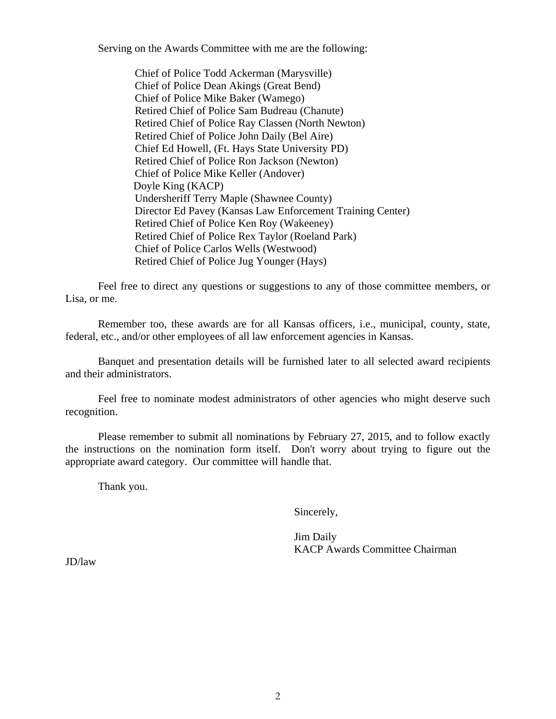Serving on the Awards Committee with me are the following:

Chief of Police Todd Ackerman (Marysville) Chief of Police Dean Akings (Great Bend) Chief of Police Mike Baker (Wamego) Retired Chief of Police Sam Budreau (Chanute) Retired Chief of Police Ray Classen (North Newton) Retired Chief of Police John Daily (Bel Aire) Chief Ed Howell, (Ft. Hays State University PD) Retired Chief of Police Ron Jackson (Newton) Chief of Police Mike Keller (Andover) Doyle King (KACP) Undersheriff Terry Maple (Shawnee County) Director Ed Pavey (Kansas Law Enforcement Training Center) Retired Chief of Police Ken Roy (Wakeeney) Retired Chief of Police Rex Taylor (Roeland Park) Chief of Police Carlos Wells (Westwood) Retired Chief of Police Jug Younger (Hays)

Feel free to direct any questions or suggestions to any of those committee members, or Lisa, or me.

Remember too, these awards are for all Kansas officers, i.e., municipal, county, state, federal, etc., and/or other employees of all law enforcement agencies in Kansas.

Banquet and presentation details will be furnished later to all selected award recipients and their administrators.

Feel free to nominate modest administrators of other agencies who might deserve such recognition.

Please remember to submit all nominations by February 27, 2015, and to follow exactly the instructions on the nomination form itself. Don't worry about trying to figure out the appropriate award category. Our committee will handle that.

Thank you.

Sincerely,

Jim Daily KACP Awards Committee Chairman

JD/law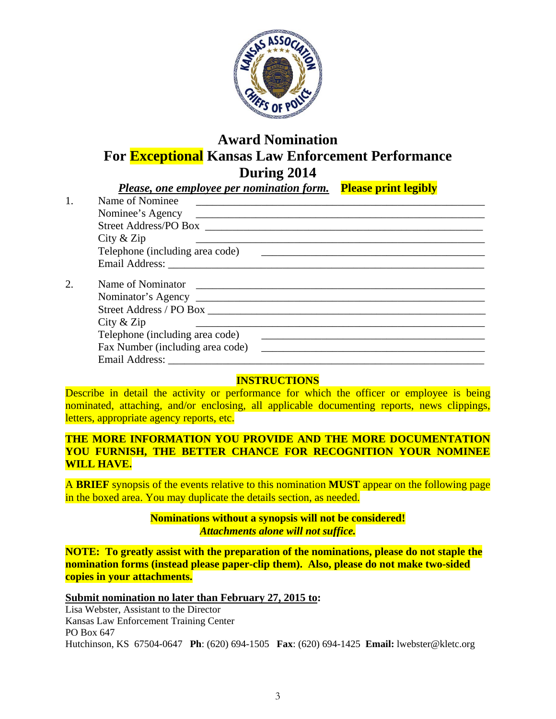

## **Award Nomination For Exceptional Kansas Law Enforcement Performance During 2014**

| Please, one employee per nomination form.                                                                                                                                                                                      | <b>Please print legibly</b>      |
|--------------------------------------------------------------------------------------------------------------------------------------------------------------------------------------------------------------------------------|----------------------------------|
| Name of Nominee                                                                                                                                                                                                                |                                  |
|                                                                                                                                                                                                                                |                                  |
|                                                                                                                                                                                                                                |                                  |
| City $&$ Zip                                                                                                                                                                                                                   |                                  |
|                                                                                                                                                                                                                                |                                  |
|                                                                                                                                                                                                                                |                                  |
|                                                                                                                                                                                                                                |                                  |
|                                                                                                                                                                                                                                |                                  |
|                                                                                                                                                                                                                                |                                  |
| City $&$ Zip                                                                                                                                                                                                                   |                                  |
| Telephone (including area code)                                                                                                                                                                                                |                                  |
|                                                                                                                                                                                                                                |                                  |
| Email Address: No. 1996. The Contract of the Contract of the Contract of the Contract of the Contract of the Contract of the Contract of the Contract of the Contract of the Contract of the Contract of the Contract of the C |                                  |
|                                                                                                                                                                                                                                | Fax Number (including area code) |

### **INSTRUCTIONS**

Describe in detail the activity or performance for which the officer or employee is being nominated, attaching, and/or enclosing, all applicable documenting reports, news clippings, letters, appropriate agency reports, etc.

### **THE MORE INFORMATION YOU PROVIDE AND THE MORE DOCUMENTATION YOU FURNISH, THE BETTER CHANCE FOR RECOGNITION YOUR NOMINEE WILL HAVE.**

A **BRIEF** synopsis of the events relative to this nomination **MUST** appear on the following page in the boxed area. You may duplicate the details section, as needed.

### **Nominations without a synopsis will not be considered!**  *Attachments alone will not suffice.*

**NOTE:****To greatly assist with the preparation of the nominations, please do not staple the nomination forms (instead please paper-clip them). Also, please do not make two-sided copies in your attachments.**

**Submit nomination no later than February 27, 2015 to:** 

Lisa Webster, Assistant to the Director Kansas Law Enforcement Training Center PO Box 647 Hutchinson, KS 67504-0647 **Ph**: (620) 694-1505 **Fax**: (620) 694-1425 **Email:** lwebster@kletc.org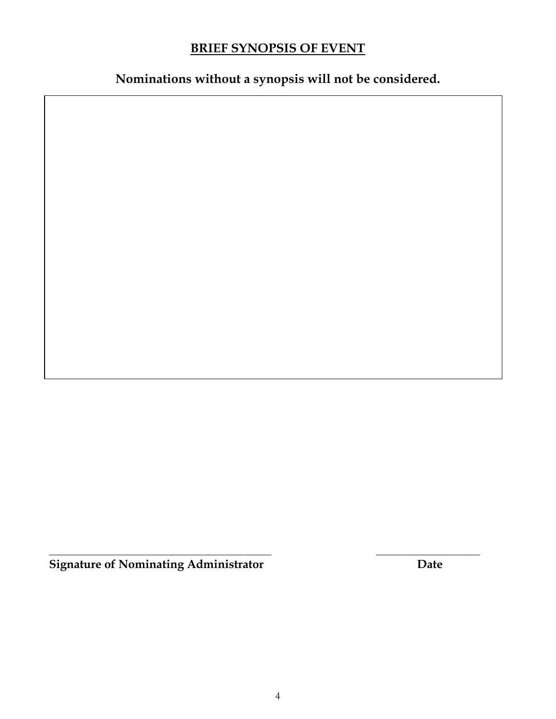## **BRIEF SYNOPSIS OF EVENT**

**Nominations without a synopsis will not be considered.** 

 $\mathcal{L}_\mathcal{L}$  , and the set of the set of the set of the set of the set of the set of the set of the set of the set of the set of the set of the set of the set of the set of the set of the set of the set of the set of th **Signature of Nominating Administrator Date**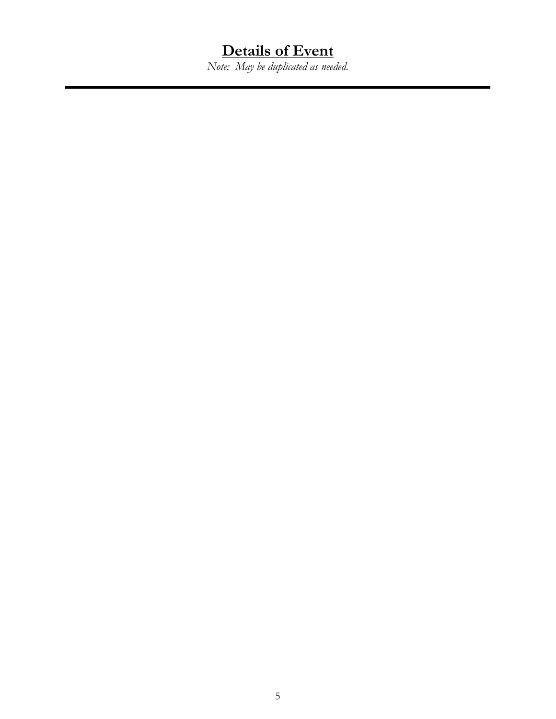## **Details of Event**

*Note: May be duplicated as needed.*